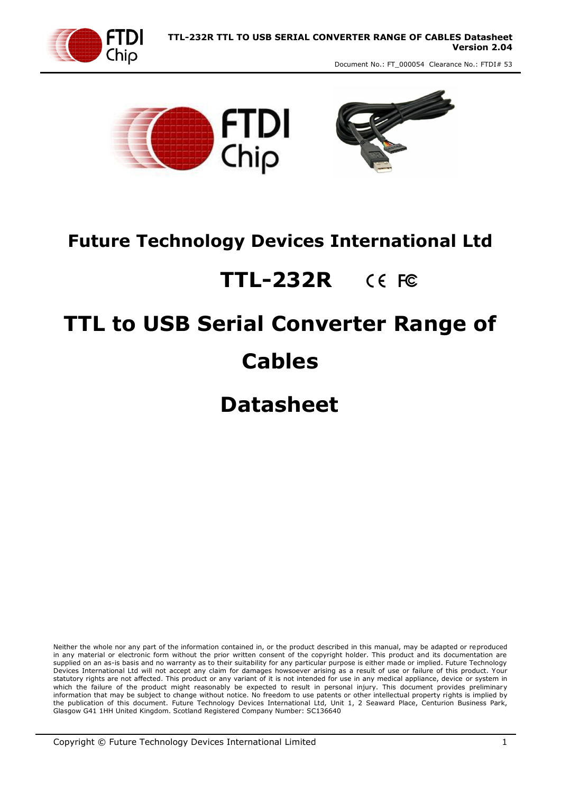





## **Future Technology Devices International Ltd**

#### **TTL-232R**   $C \in FC$

# **TTL to USB Serial Converter Range of Cables**

## **Datasheet**

Neither the whole nor any part of the information contained in, or the product described in this manual, may be adapted or reproduced in any material or electronic form without the prior written consent of the copyright holder. This product and its documentation are supplied on an as-is basis and no warranty as to their suitability for any particular purpose is either made or implied. Future Technology Devices International Ltd will not accept any claim for damages howsoever arising as a result of use or failure of this product. Your statutory rights are not affected. This product or any variant of it is not intended for use in any medical appliance, device or system in which the failure of the product might reasonably be expected to result in personal injury. This document provides preliminary information that may be subject to change without notice. No freedom to use patents or other intellectual property rights is implied by the publication of this document. Future Technology Devices International Ltd, Unit 1, 2 Seaward Place, Centurion Business Park, Glasgow G41 1HH United Kingdom. Scotland Registered Company Number: SC136640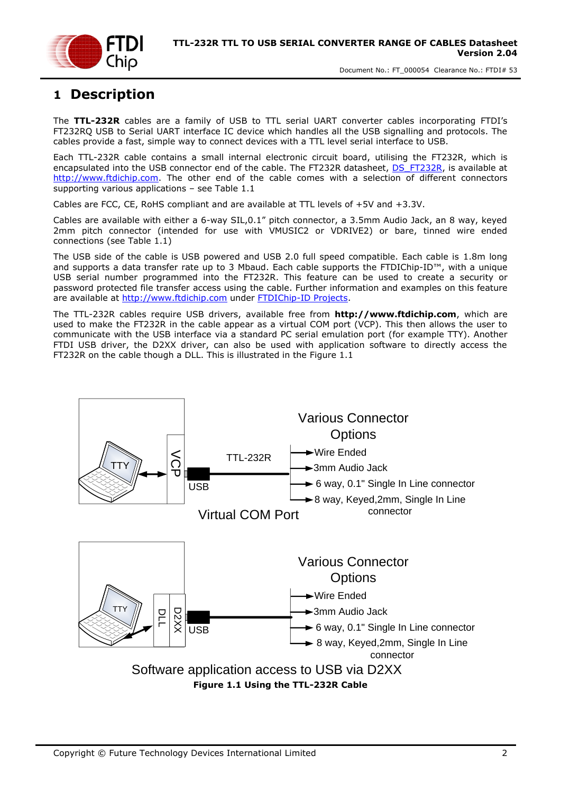

## <span id="page-1-1"></span>**1 Description**

The **TTL-232R** cables are a family of USB to TTL serial UART converter cables incorporating FTDI's FT232RQ USB to Serial UART interface IC device which handles all the USB signalling and protocols. The cables provide a fast, simple way to connect devices with a TTL level serial interface to USB.

Each TTL-232R cable contains a small internal electronic circuit board, utilising the FT232R, which is encapsulated into the USB connector end of the cable. The FT232R datasheet, **DS\_FT232R**, is available at [http://www.ftdichip.com.](http://www.ftdichip.com/) The other end of the cable comes with a selection of different connectors supporting various applications – see [Table 1.1](#page-2-0)

Cables are FCC, CE, RoHS compliant and are available at TTL levels of +5V and +3.3V.

Cables are available with either a 6-way SIL,0.1" pitch connector, a 3.5mm Audio Jack, an 8 way, keyed 2mm pitch connector (intended for use with VMUSIC2 or VDRIVE2) or bare, tinned wire ended connections (see [Table 1.1\)](#page-2-0)

The USB side of the cable is USB powered and USB 2.0 full speed compatible. Each cable is 1.8m long and supports a data transfer rate up to 3 Mbaud. Each cable supports the FTDIChip-ID™, with a unique USB serial number programmed into the FT232R. This feature can be used to create a security or password protected file transfer access using the cable. Further information and examples on this feature are available at [http://www.ftdichip.com](http://www.ftdichip.com/) under [FTDIChip-ID Projects.](http://www.ftdichip.com/Projects/FTDIChip-ID.htm)

The TTL-232R cables require USB drivers, available free from **[http://www.ftdichip.com](http://www.ftdichip.com/)**, which are used to make the FT232R in the cable appear as a virtual COM port (VCP). This then allows the user to communicate with the USB interface via a standard PC serial emulation port (for example TTY). Another FTDI USB driver, the D2XX driver, can also be used with application software to directly access the FT232R on the cable though a DLL. This is illustrated in the [Figure 1.1](#page-1-0)

<span id="page-1-0"></span>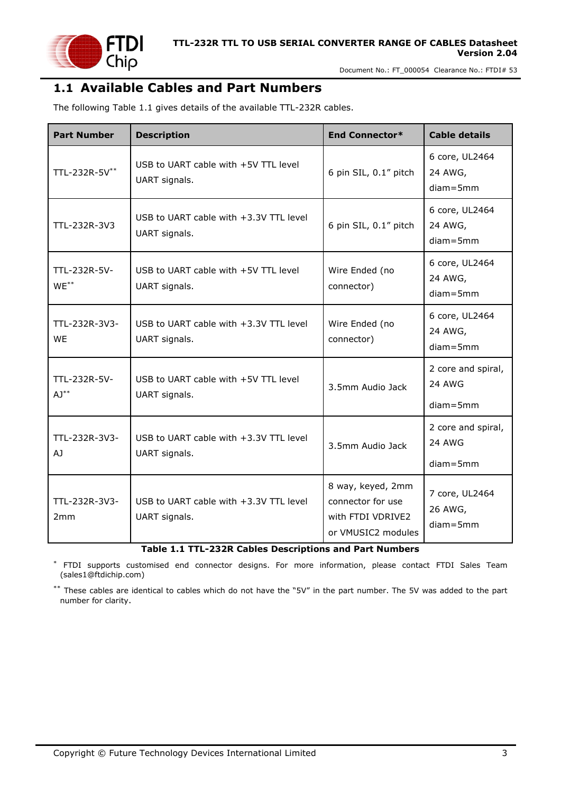

### <span id="page-2-1"></span>**1.1 Available Cables and Part Numbers**

The following [Table 1.1](#page-2-0) gives details of the available TTL-232R cables.

| <b>Part Number</b>              | <b>Description</b>                                      | <b>End Connector*</b>                                                             | <b>Cable details</b>                                |  |
|---------------------------------|---------------------------------------------------------|-----------------------------------------------------------------------------------|-----------------------------------------------------|--|
| TTL-232R-5V**                   | USB to UART cable with +5V TTL level<br>UART signals.   | 6 pin SIL, 0.1" pitch                                                             |                                                     |  |
| TTL-232R-3V3                    | USB to UART cable with +3.3V TTL level<br>UART signals. | 6 pin SIL, 0.1" pitch                                                             | 6 core, UL2464<br>24 AWG,<br>$diam = 5mm$           |  |
| TTL-232R-5V-<br>$WE^{**}$       | USB to UART cable with +5V TTL level<br>UART signals.   | Wire Ended (no<br>connector)                                                      | 6 core, UL2464<br>24 AWG,<br>$diam = 5mm$           |  |
| TTL-232R-3V3-<br>WE             | USB to UART cable with +3.3V TTL level<br>UART signals. | Wire Ended (no<br>connector)                                                      | 6 core, UL2464<br>24 AWG,<br>$diam = 5mm$           |  |
| TTL-232R-5V-<br>$AJ^{**}$       | USB to UART cable with +5V TTL level<br>UART signals.   | 3.5mm Audio Jack                                                                  | 2 core and spiral,<br><b>24 AWG</b><br>$diam = 5mm$ |  |
| TTL-232R-3V3-<br>A <sub>J</sub> | USB to UART cable with +3.3V TTL level<br>UART signals. | 3.5mm Audio Jack                                                                  | 2 core and spiral,<br>24 AWG<br>$diam = 5mm$        |  |
| TTL-232R-3V3-<br>2mm            | USB to UART cable with +3.3V TTL level<br>UART signals. | 8 way, keyed, 2mm<br>connector for use<br>with FTDI VDRIVE2<br>or VMUSIC2 modules | 7 core, UL2464<br>26 AWG,<br>$diam = 5mm$           |  |

**Table 1.1 TTL-232R Cables Descriptions and Part Numbers**

<span id="page-2-0"></span>\* FTDI supports customised end connector designs. For more information, please contact [FTDI Sales Team](mailto:sales1@ftdichip.com)  [\(sales1@ftdichip.com\)](mailto:sales1@ftdichip.com)

\*\* These cables are identical to cables which do not have the "5V" in the part number. The 5V was added to the part number for clarity.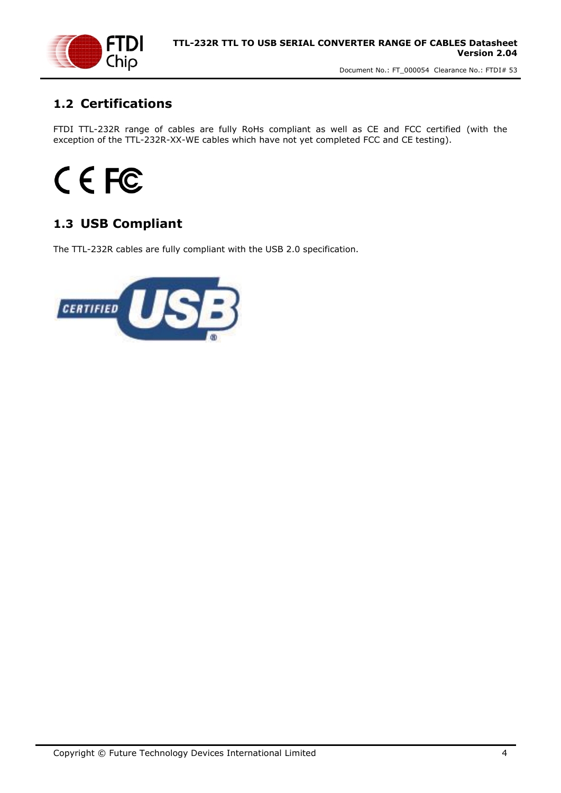

## <span id="page-3-0"></span>**1.2 Certifications**

FTDI TTL-232R range of cables are fully RoHs compliant as well as CE and FCC certified (with the exception of the TTL-232R-XX-WE cables which have not yet completed FCC and CE testing).

CEFC

## <span id="page-3-1"></span>**1.3 USB Compliant**

The TTL-232R cables are fully compliant with the USB 2.0 specification.

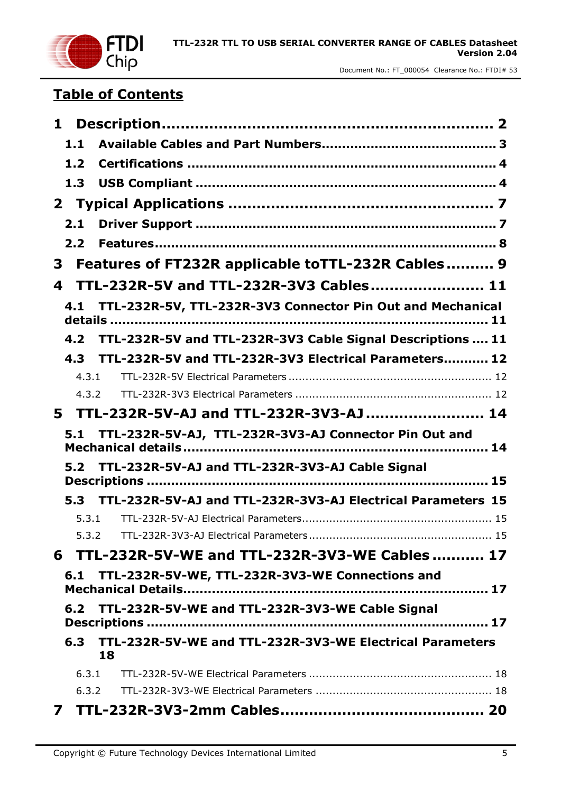

## **Table of Contents**

| 1     |                                                                                                        |
|-------|--------------------------------------------------------------------------------------------------------|
| 1.1   |                                                                                                        |
| 1.2   |                                                                                                        |
| 1.3   |                                                                                                        |
|       |                                                                                                        |
| 2.1   |                                                                                                        |
| 2.2   |                                                                                                        |
| 3     | Features of FT232R applicable toTTL-232R Cables 9                                                      |
| 4     | TTL-232R-5V and TTL-232R-3V3 Cables 11                                                                 |
|       | 4.1 TTL-232R-5V, TTL-232R-3V3 Connector Pin Out and Mechanical                                         |
| 4.2   | TTL-232R-5V and TTL-232R-3V3 Cable Signal Descriptions  11                                             |
|       | 4.3 TTL-232R-5V and TTL-232R-3V3 Electrical Parameters 12                                              |
| 4.3.1 |                                                                                                        |
|       | 4.3.2                                                                                                  |
|       |                                                                                                        |
|       | 5 TTL-232R-5V-AJ and TTL-232R-3V3-AJ  14                                                               |
|       | 5.1 TTL-232R-5V-AJ, TTL-232R-3V3-AJ Connector Pin Out and                                              |
|       | 5.2 TTL-232R-5V-AJ and TTL-232R-3V3-AJ Cable Signal                                                    |
|       |                                                                                                        |
|       | 5.3 TTL-232R-5V-AJ and TTL-232R-3V3-AJ Electrical Parameters 15                                        |
| 5.3.1 |                                                                                                        |
|       |                                                                                                        |
|       | 6 TTL-232R-5V-WE and TTL-232R-3V3-WE Cables  17<br>6.1 TTL-232R-5V-WE, TTL-232R-3V3-WE Connections and |
|       |                                                                                                        |
|       | 6.2 TTL-232R-5V-WE and TTL-232R-3V3-WE Cable Signal                                                    |
|       | 6.3 TTL-232R-5V-WE and TTL-232R-3V3-WE Electrical Parameters<br>18                                     |
| 6.3.1 |                                                                                                        |
|       | 6.3.2                                                                                                  |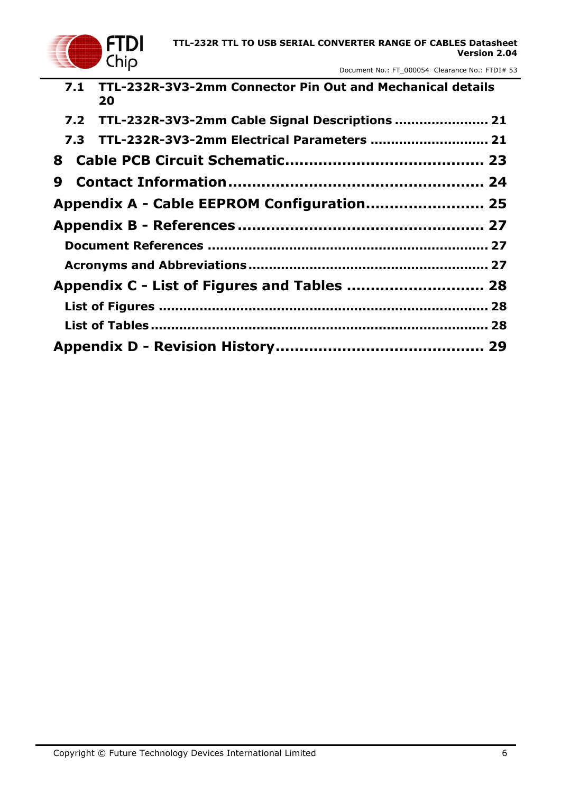

|   | 7.1 TTL-232R-3V3-2mm Connector Pin Out and Mechanical details<br>20 |  |
|---|---------------------------------------------------------------------|--|
|   | 7.2 TTL-232R-3V3-2mm Cable Signal Descriptions  21                  |  |
|   | 7.3 TTL-232R-3V3-2mm Electrical Parameters  21                      |  |
|   |                                                                     |  |
| 9 |                                                                     |  |
|   |                                                                     |  |
|   |                                                                     |  |
|   |                                                                     |  |
|   |                                                                     |  |
|   |                                                                     |  |
|   |                                                                     |  |
|   |                                                                     |  |
|   |                                                                     |  |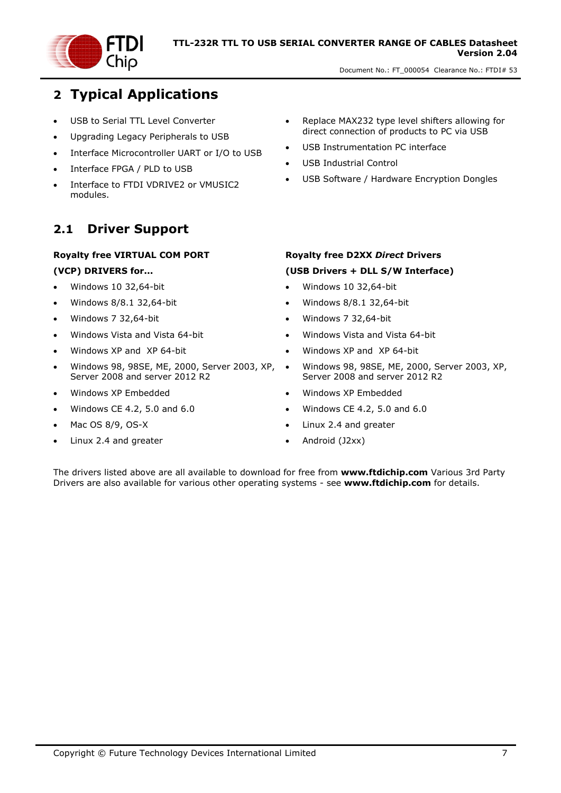

## <span id="page-6-0"></span>**2 Typical Applications**

- USB to Serial TTL Level Converter
- Upgrading Legacy Peripherals to USB
- Interface Microcontroller UART or I/O to USB
- Interface FPGA / PLD to USB
- Interface to FTDI VDRIVE2 or VMUSIC2 modules.

### <span id="page-6-1"></span>**2.1 Driver Support**

#### **Royalty free VIRTUAL COM PORT**

#### **(VCP) DRIVERS for...**

- Windows 10 32,64-bit
- Windows 8/8.1 32,64-bit
- Windows 7 32,64-bit
- Windows Vista and Vista 64-bit
- Windows XP and XP 64-bit
- Windows 98, 98SE, ME, 2000, Server 2003, XP, Server 2008 and server 2012 R2
- Windows XP Embedded
- $\bullet$  Windows CE 4.2, 5.0 and 6.0
- Mac OS 8/9, OS-X
- Linux 2.4 and greater
- Replace MAX232 type level shifters allowing for direct connection of products to PC via USB
- USB Instrumentation PC interface
- USB Industrial Control
- USB Software / Hardware Encryption Dongles

#### **Royalty free D2XX** *Direct* **Drivers (USB Drivers + DLL S/W Interface)**

- Windows 10 32,64-bit
- Windows 8/8.1 32,64-bit
- Windows 7 32,64-bit
- Windows Vista and Vista 64-bit
- Windows XP and XP 64-bit
- Windows 98, 98SE, ME, 2000, Server 2003, XP, Server 2008 and server 2012 R2
- Windows XP Embedded
- $\bullet$  Windows CE 4.2, 5.0 and 6.0
- Linux 2.4 and greater
- Android (J2xx)

The drivers listed above are all available to download for free from **[www.ftdichip.com](http://www.ftdichip.com/)** Various 3rd Party Drivers are also available for various other operating systems - see **[www.ftdichip.com](http://www.ftdichip.com/)** for details.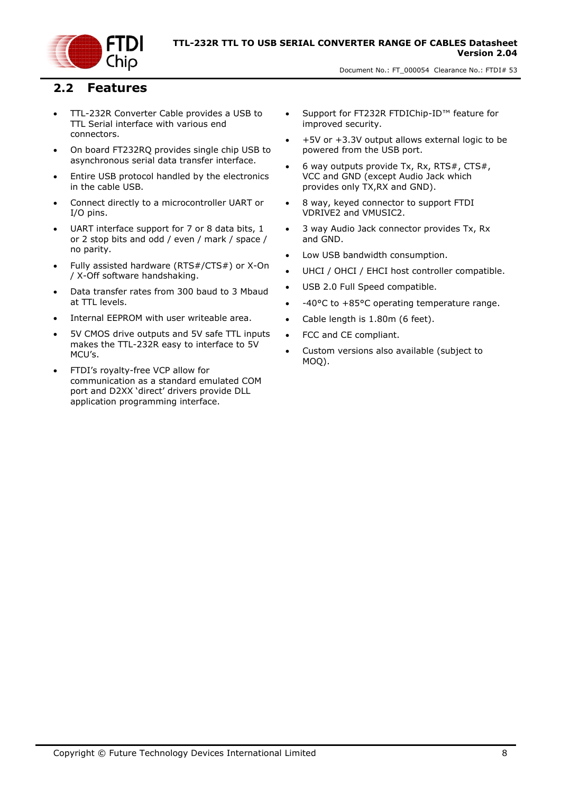

#### <span id="page-7-0"></span>**2.2 Features**

- TTL-232R Converter Cable provides a USB to TTL Serial interface with various end connectors.
- On board FT232RQ provides single chip USB to asynchronous serial data transfer interface.
- Entire USB protocol handled by the electronics in the cable USB.
- Connect directly to a microcontroller UART or I/O pins.
- UART interface support for 7 or 8 data bits, 1 or 2 stop bits and odd / even / mark / space / no parity.
- Fully assisted hardware (RTS#/CTS#) or X-On / X-Off software handshaking.
- Data transfer rates from 300 baud to 3 Mbaud at TTL levels.
- Internal EEPROM with user writeable area.
- 5V CMOS drive outputs and 5V safe TTL inputs makes the TTL-232R easy to interface to 5V MCU's.
- FTDI's royalty-free VCP allow for communication as a standard emulated COM port and D2XX 'direct' drivers provide DLL application programming interface.
- Support for FT232R FTDIChip-ID™ feature for improved security.
- +5V or +3.3V output allows external logic to be powered from the USB port.
- 6 way outputs provide Tx, Rx, RTS#, CTS#, VCC and GND (except Audio Jack which provides only TX,RX and GND).
- 8 way, keyed connector to support FTDI VDRIVE2 and VMUSIC2.
- 3 way Audio Jack connector provides Tx, Rx and GND.
- Low USB bandwidth consumption.
- UHCI / OHCI / EHCI host controller compatible.
- USB 2.0 Full Speed compatible.
- -40°C to +85°C operating temperature range.
- Cable length is 1.80m (6 feet).
- FCC and CE compliant.
- Custom versions also available (subject to MOQ).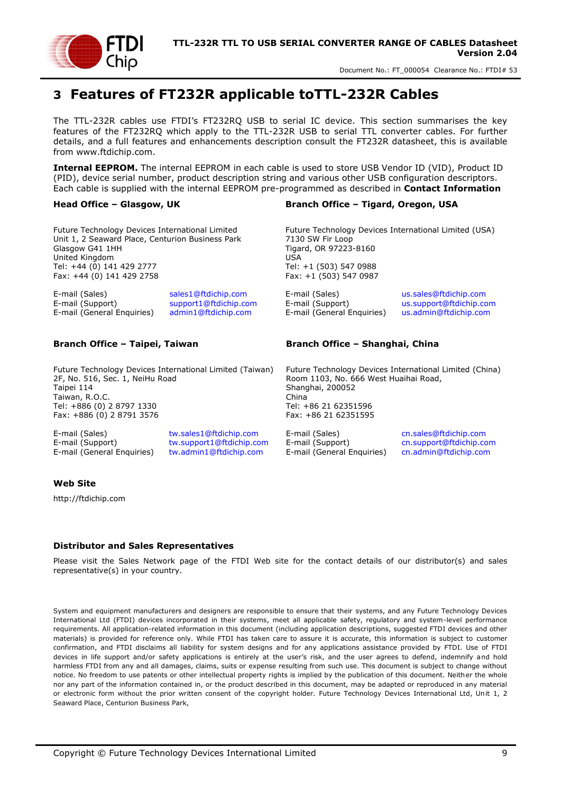

## <span id="page-8-0"></span>**3 Features of FT232R applicable toTTL-232R Cables**

The TTL-232R cables use FTDI's FT232RQ USB to serial IC device. This section summarises the key features of the FT232RQ which apply to the TTL-232R USB to serial TTL converter cables. For further details, and a full features and enhancements description consult the FT232R datasheet, this is available from [www.ftdichip.com.](file://///glaspssv1/General/Engineering/Engineering%20_Documents/DS_TTL-232R/DS_TTL-232R_V200/www.ftdichip.com)

**Internal EEPROM.** The internal EEPROM in each cable is used to store USB Vendor ID (VID), Product ID (PID), device serial number, product description string and various other USB configuration descriptors. Each cable is supplied with the internal EEPROM pre-programmed as described in **[Contact Information](#page-23-0)**

#### **Head Office – [Glasgow, UK](#page-23-0) Branch Office – [Tigard, Oregon, USA](#page-23-0)**

[Future Technology Devices International Limited](#page-23-0) [Unit 1, 2 Seaward Place, Centurion Business Park](#page-23-0) [Glasgow G41 1HH](#page-23-0) [United Kingdom](#page-23-0) [Tel: +44 \(0\) 141 429 2777](#page-23-0) [Fax: +44 \(0\) 141 429 2758](#page-23-0)

[E-mail \(Sales\)](#page-23-0) [sales1@ftdichip.com](#page-23-0) [E-mail \(Sales\)](#page-23-0) [us.sales@ftdichip.com](#page-23-0)

[Future Technology Devices International Limited \(Taiwan\)](#page-23-0) [2F, No. 516, Sec. 1, NeiHu Road](#page-23-0) [Taipei 114](#page-23-0) [Taiwan,](#page-23-0) R.O.C. [Tel: +886 \(0\) 2 8797](#page-23-0) 1330 [Fax: +886 \(0\) 2 8791 3576](#page-23-0)

[E-mail \(General Enquiries\)](#page-23-0) [tw.admin1@ftdichip.com](#page-23-0) [E-mail \(General Enquiries\)](#page-23-0) [cn.admin@ftdichip.com](#page-23-0)

[E-mail \(Sales\)](#page-23-0) [tw.sales1@ftdichip.com](#page-23-0) [E-mail \(Sales\)](#page-23-0) [cn.sales@ftdichip.com](#page-23-0) [E-mail \(Support\)](#page-23-0) [tw.support1@ftdichip.com](#page-23-0) [E-mail \(Support\)](#page-23-0) [cn.support@ftdichip.com](#page-23-0)

[Future Technology Devices International Limited \(USA\)](#page-23-0) [7130 SW Fir Loop](#page-23-0) [Tigard, OR 97223-8160](#page-23-0) [USA](#page-23-0) [Tel: +1 \(503\) 547 0988](#page-23-0) [Fax: +1 \(503\) 547 0987](#page-23-0)

[E-mail \(Support\)](#page-23-0) [support1@ftdichip.com](#page-23-0) [E-mail \(Support\)](#page-23-0) [us.support@ftdichip.com](#page-23-0) [E-mail \(General Enquiries\)](#page-23-0) [admin1@ftdichip.com](#page-23-0) [E-mail \(General Enquiries\)](#page-23-0) [us.admin@ftdichip.com](#page-23-0)

#### **Branch Office – [Taipei, Taiwan](#page-23-0) Branch Office – [Shanghai, China](#page-23-0)**

[Future Technology Devices International Limited \(China\)](#page-23-0) [Room 1103, No. 666 West Huaihai Road,](#page-23-0) [Shanghai, 200052](#page-23-0) [China](#page-23-0) [Tel: +86 21 62351596](#page-23-0) [Fax: +86 21 62351595](#page-23-0)

#### **[Web Site](#page-23-0)**

[http://ftdichip.com](#page-23-0)

#### **[Distributor and Sales Representatives](#page-23-0)**

Please visit the Sales Network page of the FTDI Web site [for the contact details of our distributor\(s\) and sales](#page-23-0)  [representative\(s\) in your country.](#page-23-0)

[System and equipment manufacturers and designers are responsible to ensure that their systems, and any Future Technology Devices](#page-23-0)  [International Ltd \(FTDI\) devices incorporated in their systems, meet all applicable safety, regulatory and system-level performance](#page-23-0)  [requirements. All application-related information in this document \(including application descriptions, suggested FTDI devices and other](#page-23-0)  [materials\) is provided for reference only. While FTDI has taken care to assure it is accurate, this information is subject to](#page-23-0) customer confirmation, and FTDI disclaims all liability for system designs [and for any applications assistance provided by FTDI. Use of FTDI](#page-23-0)  [devices in life support and/or safety applications is entirely at the user's risk, and the user agrees to defend, indemnify a](#page-23-0)nd hold harmless FTDI from any and all damages, claims, suits or [expense resulting from such use. This document is subject to change without](#page-23-0)  [notice. No freedom to use patents or other intellectual property rights is implied by the publication of this document. Neither the whole](#page-23-0)  nor any part of the information contained [in, or the product described in this document, may be adapted or reproduced in any material](#page-23-0)  [or electronic form without the prior written consent of the copyright holder. Future Technology Devices International Ltd, Unit 1, 2](#page-23-0)  [Seaward Place, Centurion Business Park,](#page-23-0)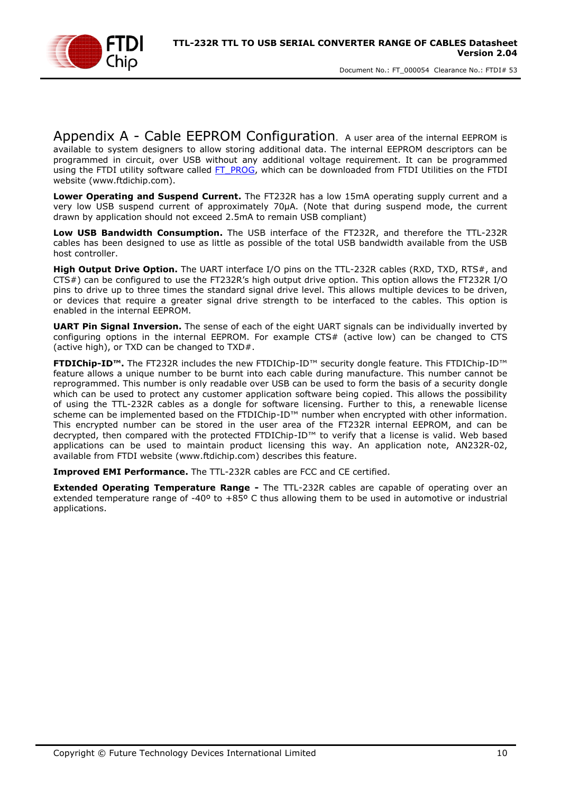

Appendix A - Cable [EEPROM Configuration](#page-23-0). A user area of the internal EEPROM is available to system designers to allow storing additional data. The internal EEPROM descriptors can be programmed in circuit, over USB without any additional voltage requirement. It can be programmed using the FTDI utility software called [FT\\_PROG,](http://www.ftdichip.com/Support/Utilities/FT_Prog_v1.9.zip) which can be downloaded from [FTDI Utilities](http://ftdichip.com/Resources/Utilities.htm) on the FTDI [website](http://www.ftdichip.com/) [\(www.ftdichip.com\)](http://www.ftdichip.com/).

**Lower Operating and Suspend Current.** The FT232R has a low 15mA operating supply current and a very low USB suspend current of approximately 70μA. (Note that during suspend mode, the current drawn by application should not exceed 2.5mA to remain USB compliant)

**Low USB Bandwidth Consumption.** The USB interface of the FT232R, and therefore the TTL-232R cables has been designed to use as little as possible of the total USB bandwidth available from the USB host controller.

**High Output Drive Option.** The UART interface I/O pins on the TTL-232R cables (RXD, TXD, RTS#, and CTS#) can be configured to use the FT232R's high output drive option. This option allows the FT232R I/O pins to drive up to three times the standard signal drive level. This allows multiple devices to be driven, or devices that require a greater signal drive strength to be interfaced to the cables. This option is enabled in the internal EEPROM.

**UART Pin Signal Inversion.** The sense of each of the eight UART signals can be individually inverted by configuring options in the internal EEPROM. For example CTS# (active low) can be changed to CTS (active high), or TXD can be changed to TXD#.

**FTDIChip-ID™.** The FT232R includes the new FTDIChip-ID™ security dongle feature. This FTDIChip-ID™ feature allows a unique number to be burnt into each cable during manufacture. This number cannot be reprogrammed. This number is only readable over USB can be used to form the basis of a security dongle which can be used to protect any customer application software being copied. This allows the possibility of using the TTL-232R cables as a dongle for software licensing. Further to this, a renewable license scheme can be implemented based on the FTDIChip-ID™ number when encrypted with other information. This encrypted number can be stored in the user area of the FT232R internal EEPROM, and can be decrypted, then compared with the protected FTDIChip-ID™ to verify that a license is valid. Web based applications can be used to maintain product licensing this way. An application note, [AN232R-02,](http://ftdichip.com/Documents/AppNotes/AN232R-02_FT232RChipID.pdf) available from [FTDI website](http://www.ftdichip.com/) [\(www.ftdichip.com\)](http://www.ftdichip.com/) describes this feature.

**Improved EMI Performance.** The TTL-232R cables are FCC and CE certified.

**Extended Operating Temperature Range -** The TTL-232R cables are capable of operating over an extended temperature range of -40º to +85º C thus allowing them to be used in automotive or industrial applications.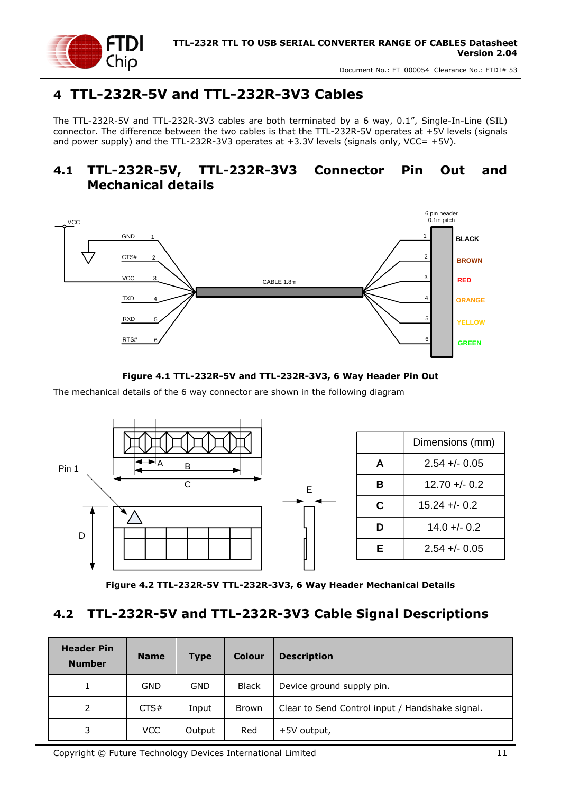

## <span id="page-10-0"></span>**4 TTL-232R-5V and TTL-232R-3V3 Cables**

The TTL-232R-5V and TTL-232R-3V3 cables are both terminated by a 6 way, 0.1", Single-In-Line (SIL) connector. The difference between the two cables is that the TTL-232R-5V operates at +5V levels (signals and power supply) and the TTL-232R-3V3 operates at  $+3.3V$  levels (signals only, VCC=  $+5V$ ).

### <span id="page-10-1"></span>**4.1 TTL-232R-5V, TTL-232R-3V3 Connector Pin Out and Mechanical details**



#### **Figure 4.1 TTL-232R-5V and TTL-232R-3V3, 6 Way Header Pin Out**

<span id="page-10-3"></span>The mechanical details of the 6 way connector are shown in the following diagram



**Figure 4.2 TTL-232R-5V TTL-232R-3V3, 6 Way Header Mechanical Details**

### <span id="page-10-4"></span><span id="page-10-2"></span>**4.2 TTL-232R-5V and TTL-232R-3V3 Cable Signal Descriptions**

| <b>Header Pin</b><br><b>Number</b> | <b>Name</b> | <b>Type</b> | <b>Colour</b> | <b>Description</b>                              |
|------------------------------------|-------------|-------------|---------------|-------------------------------------------------|
| 1                                  | <b>GND</b>  | <b>GND</b>  | <b>Black</b>  | Device ground supply pin.                       |
| 2                                  | CTS#        | Input       | Brown         | Clear to Send Control input / Handshake signal. |
| 3                                  | <b>VCC</b>  | Output      | Red           | +5V output,                                     |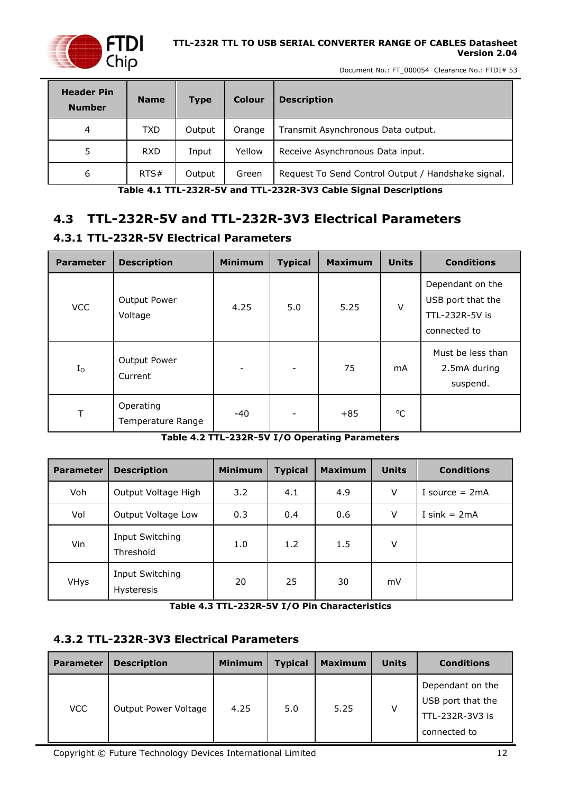

Document No.: FT\_000054 Clearance No.: FTDI# 53

| <b>Header Pin</b><br><b>Number</b> | <b>Name</b> | <b>Type</b> | <b>Colour</b> | <b>Description</b>                                 |
|------------------------------------|-------------|-------------|---------------|----------------------------------------------------|
| 4                                  | <b>TXD</b>  | Output      | Orange        | Transmit Asynchronous Data output.                 |
| 5                                  | <b>RXD</b>  | Input       | Yellow        | Receive Asynchronous Data input.                   |
| 6                                  | RTS#        | Output      | Green         | Request To Send Control Output / Handshake signal. |

**Table 4.1 TTL-232R-5V and TTL-232R-3V3 Cable Signal Descriptions**

### <span id="page-11-3"></span><span id="page-11-0"></span>**4.3 TTL-232R-5V and TTL-232R-3V3 Electrical Parameters**

#### <span id="page-11-1"></span>**4.3.1 TTL-232R-5V Electrical Parameters**

| <b>Parameter</b> | <b>Description</b>             | <b>Minimum</b>           | <b>Typical</b> | <b>Maximum</b> | <b>Units</b> | <b>Conditions</b>                                                       |
|------------------|--------------------------------|--------------------------|----------------|----------------|--------------|-------------------------------------------------------------------------|
| <b>VCC</b>       | Output Power<br>Voltage        | 4.25                     | 5.0            | 5.25           | V            | Dependant on the<br>USB port that the<br>TTL-232R-5V is<br>connected to |
| $I_{\rm O}$      | Output Power<br>Current        | $\overline{\phantom{a}}$ |                | 75             | mA           | Must be less than<br>2.5mA during<br>suspend.                           |
| Τ                | Operating<br>Temperature Range | $-40$                    |                | $+85$          | °C           |                                                                         |

#### **Table 4.2 TTL-232R-5V I/O Operating Parameters**

<span id="page-11-4"></span>

| <b>Parameter</b> | <b>Description</b>                   | <b>Minimum</b> | <b>Typical</b> | <b>Maximum</b> | <b>Units</b> | <b>Conditions</b> |
|------------------|--------------------------------------|----------------|----------------|----------------|--------------|-------------------|
| Voh              | Output Voltage High                  | 3.2            | 4.1            | 4.9            | V            | I source $= 2mA$  |
| Vol              | Output Voltage Low                   | 0.3            | 0.4            | 0.6            | V            | I sink $= 2mA$    |
| Vin              | Input Switching<br>Threshold         | 1.0            | 1.2            | 1.5            | V            |                   |
| <b>VHys</b>      | Input Switching<br><b>Hysteresis</b> |                | 25             | 30             | mV           |                   |

**Table 4.3 TTL-232R-5V I/O Pin Characteristics**

#### <span id="page-11-5"></span><span id="page-11-2"></span>**4.3.2 TTL-232R-3V3 Electrical Parameters**

| <b>Parameter</b> | <b>Description</b>   | <b>Minimum</b> | <b>Typical</b> | <b>Maximum</b> | <b>Units</b> | <b>Conditions</b>                                                        |
|------------------|----------------------|----------------|----------------|----------------|--------------|--------------------------------------------------------------------------|
| <b>VCC</b>       | Output Power Voltage | 4.25           | 5.0            | 5.25           |              | Dependant on the<br>USB port that the<br>TTL-232R-3V3 is<br>connected to |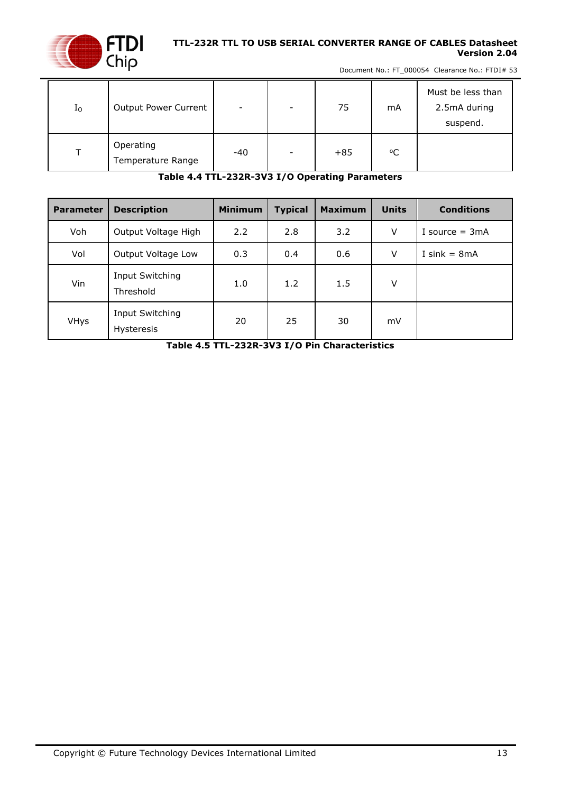

Document No.: FT\_000054 Clearance No.: FTDI# 53

| $I_{\rm O}$ | Output Power Current           | $\overline{\phantom{a}}$ | -                        | 75    | mA          | Must be less than<br>2.5mA during<br>suspend. |
|-------------|--------------------------------|--------------------------|--------------------------|-------|-------------|-----------------------------------------------|
|             | Operating<br>Temperature Range | $-40$                    | $\overline{\phantom{0}}$ | $+85$ | $\rm ^{o}C$ |                                               |

**Table 4.4 TTL-232R-3V3 I/O Operating Parameters**

<span id="page-12-0"></span>

| <b>Parameter</b> | <b>Description</b>            | <b>Minimum</b> | <b>Typical</b> | <b>Maximum</b> | <b>Units</b> | <b>Conditions</b> |
|------------------|-------------------------------|----------------|----------------|----------------|--------------|-------------------|
| Voh              | Output Voltage High           | 2.2            | 2.8            | 3.2            | V            | I source $= 3mA$  |
| Vol              | Output Voltage Low            | 0.3            | 0.4            | 0.6            | V            | I sink $= 8mA$    |
| Vin              | Input Switching<br>Threshold  | 1.0            | 1.2            | 1.5            | V            |                   |
| <b>VHys</b>      | Input Switching<br>Hysteresis | 20             | 25             | 30             | mV           |                   |

<span id="page-12-1"></span>**Table 4.5 TTL-232R-3V3 I/O Pin Characteristics**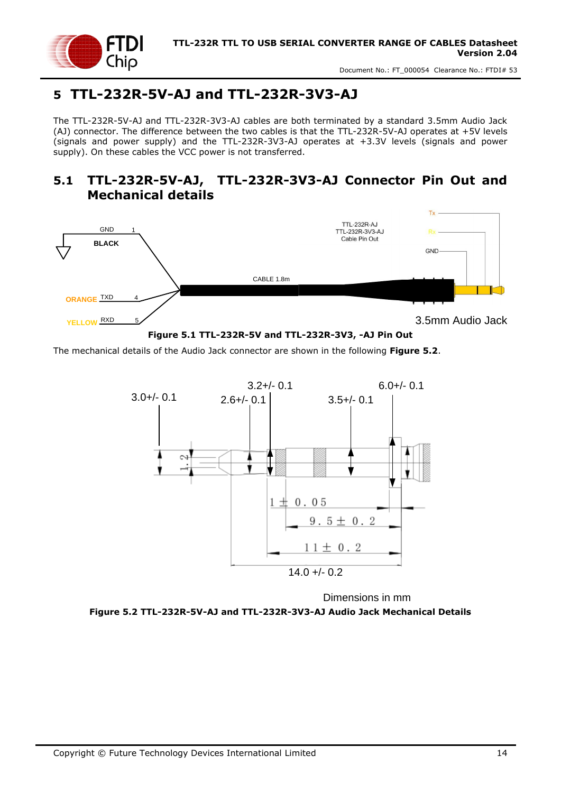

## <span id="page-13-0"></span>**5 TTL-232R-5V-AJ and TTL-232R-3V3-AJ**

The TTL-232R-5V-AJ and TTL-232R-3V3-AJ cables are both terminated by a standard 3.5mm Audio Jack (AJ) connector. The difference between the two cables is that the TTL-232R-5V-AJ operates at +5V levels (signals and power supply) and the TTL-232R-3V3-AJ operates at +3.3V levels (signals and power supply). On these cables the VCC power is not transferred.

#### <span id="page-13-1"></span>**5.1 TTL-232R-5V-AJ, TTL-232R-3V3-AJ Connector Pin Out and Mechanical details**



**Figure 5.1 TTL-232R-5V and TTL-232R-3V3, -AJ Pin Out**

<span id="page-13-3"></span>The mechanical details of the Audio Jack connector are shown in the following **[Figure 5.2](#page-13-2)**.



<span id="page-13-2"></span>**Figure 5.2 TTL-232R-5V-AJ and TTL-232R-3V3-AJ Audio Jack Mechanical Details** Dimensions in mm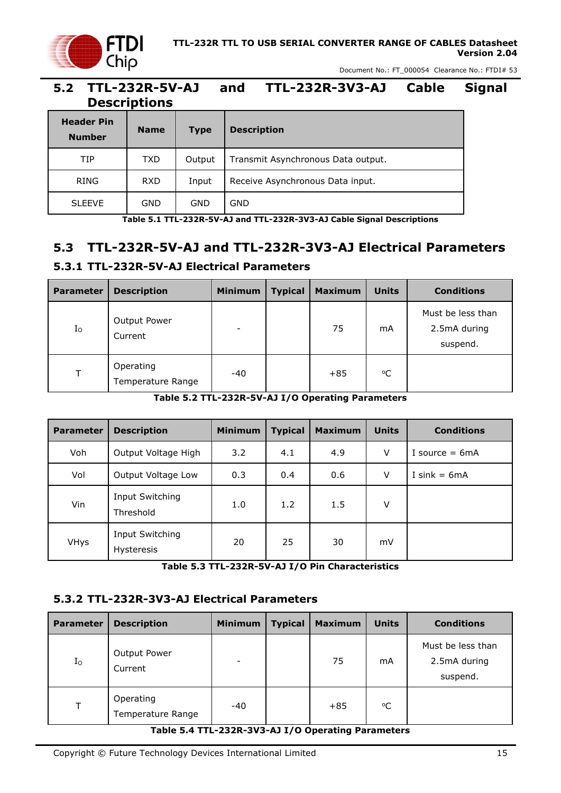

### <span id="page-14-0"></span>**5.2 TTL-232R-5V-AJ and TTL-232R-3V3-AJ Cable Signal Descriptions**

| <b>Header Pin</b><br><b>Number</b> | <b>Name</b> | <b>Type</b> | <b>Description</b>                 |
|------------------------------------|-------------|-------------|------------------------------------|
| TIP                                | <b>TXD</b>  | Output      | Transmit Asynchronous Data output. |
| <b>RING</b>                        | <b>RXD</b>  | Input       | Receive Asynchronous Data input.   |
| <b>SLEEVE</b>                      | GND         | GND         | GND                                |

**Table 5.1 TTL-232R-5V-AJ and TTL-232R-3V3-AJ Cable Signal Descriptions**

### <span id="page-14-4"></span><span id="page-14-1"></span>**5.3 TTL-232R-5V-AJ and TTL-232R-3V3-AJ Electrical Parameters**

#### <span id="page-14-2"></span>**5.3.1 TTL-232R-5V-AJ Electrical Parameters**

| <b>Parameter</b> | <b>Description</b>             | <b>Minimum</b>           | <b>Typical</b> | <b>Maximum</b> | <b>Units</b> | <b>Conditions</b>                             |
|------------------|--------------------------------|--------------------------|----------------|----------------|--------------|-----------------------------------------------|
| $I_{\rm O}$      | Output Power<br>Current        | $\overline{\phantom{0}}$ |                | 75             | mA           | Must be less than<br>2.5mA during<br>suspend. |
| т                | Operating<br>Temperature Range | $-40$                    |                | $+85$          | °C           |                                               |

**Table 5.2 TTL-232R-5V-AJ I/O Operating Parameters**

<span id="page-14-5"></span>

| <b>Parameter</b> | <b>Description</b>                   | <b>Minimum</b> | <b>Typical</b> | <b>Maximum</b> | <b>Units</b> | <b>Conditions</b> |
|------------------|--------------------------------------|----------------|----------------|----------------|--------------|-------------------|
| Voh              | Output Voltage High                  | 3.2            | 4.1            | 4.9            | V            | I source $= 6mA$  |
| Vol              | Output Voltage Low                   | 0.3            | 0.4            | 0.6            | V            | I sink = $6mA$    |
| Vin              | Input Switching<br>Threshold         | 1.0            | 1.2            | 1.5            | V            |                   |
| <b>VHys</b>      | Input Switching<br><b>Hysteresis</b> | 20             | 25             | 30             | mV           |                   |

**Table 5.3 TTL-232R-5V-AJ I/O Pin Characteristics**

#### <span id="page-14-6"></span><span id="page-14-3"></span>**5.3.2 TTL-232R-3V3-AJ Electrical Parameters**

| <b>Parameter</b> | <b>Description</b>             | <b>Minimum</b>    | <b>Typical</b> | <b>Maximum</b> | <b>Units</b> | <b>Conditions</b>                             |
|------------------|--------------------------------|-------------------|----------------|----------------|--------------|-----------------------------------------------|
| $I_{\rm O}$      | Output Power<br>Current        | $\qquad \qquad -$ |                | 75             | mA           | Must be less than<br>2.5mA during<br>suspend. |
|                  | Operating<br>Temperature Range | $-40$             |                | $+85$          | °C           |                                               |

#### <span id="page-14-7"></span>**Table 5.4 TTL-232R-3V3-AJ I/O Operating Parameters**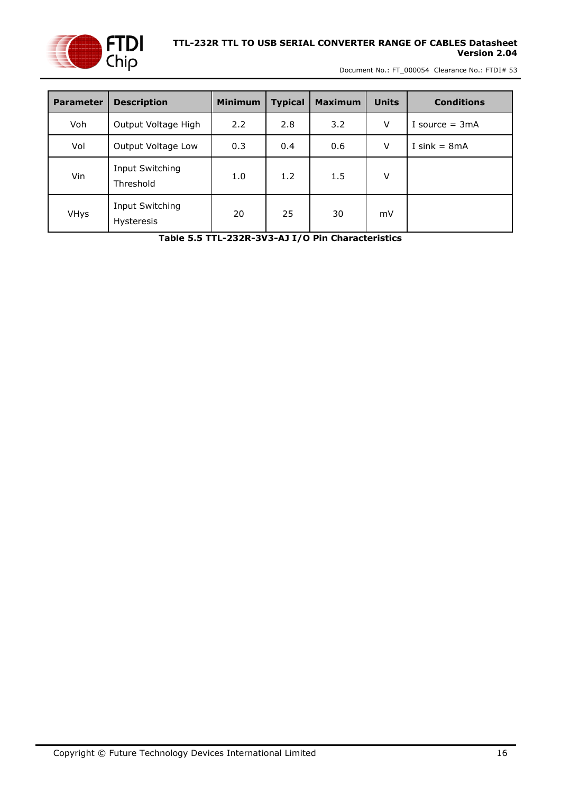

Document No.: FT\_000054 Clearance No.: FTDI# 53

| <b>Parameter</b> | <b>Description</b>                   | <b>Minimum</b> | <b>Typical</b> | <b>Maximum</b> | <b>Units</b> | <b>Conditions</b> |
|------------------|--------------------------------------|----------------|----------------|----------------|--------------|-------------------|
| Voh              | Output Voltage High                  | 2.2            | 2.8            | 3.2            | V            | I source $= 3mA$  |
| Vol              | Output Voltage Low                   | 0.3            | 0.4            | 0.6            | V            | I sink = $8mA$    |
| Vin              | Input Switching<br>Threshold         | 1.0            | 1.2            | 1.5            | V            |                   |
| <b>VHys</b>      | Input Switching<br><b>Hysteresis</b> | 20             | 25             | 30             | mV           |                   |

<span id="page-15-0"></span>**Table 5.5 TTL-232R-3V3-AJ I/O Pin Characteristics**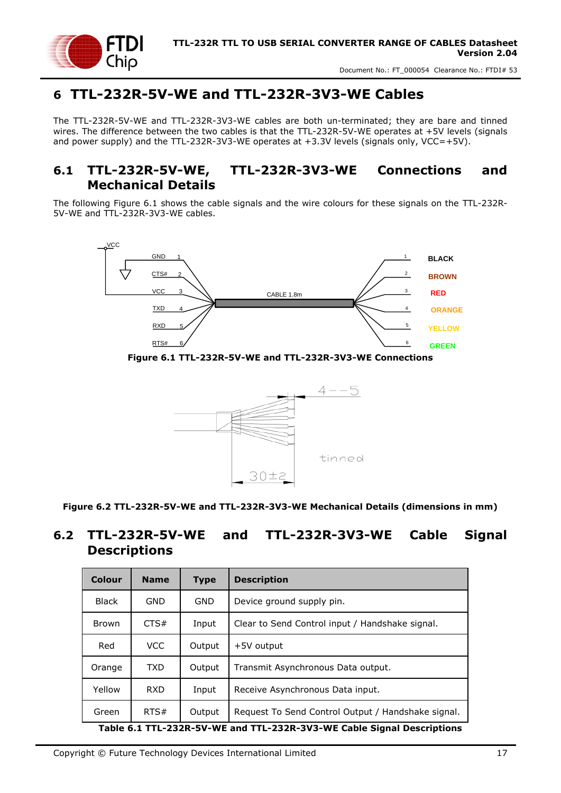

## <span id="page-16-0"></span>**6 TTL-232R-5V-WE and TTL-232R-3V3-WE Cables**

The TTL-232R-5V-WE and TTL-232R-3V3-WE cables are both un-terminated; they are bare and tinned wires. The difference between the two cables is that the TTL-232R-5V-WE operates at +5V levels (signals and power supply) and the TTL-232R-3V3-WE operates at  $+3.3V$  levels (signals only, VCC=+5V).

#### <span id="page-16-1"></span>**6.1 TTL-232R-5V-WE, TTL-232R-3V3-WE Connections and Mechanical Details**

The following [Figure 6.1](#page-16-3) shows the cable signals and the wire colours for these signals on the TTL-232R-5V-WE and TTL-232R-3V3-WE cables.



<span id="page-16-3"></span>**Figure 6.1 TTL-232R-5V-WE and TTL-232R-3V3-WE Connections**



<span id="page-16-4"></span>**Figure 6.2 TTL-232R-5V-WE and TTL-232R-3V3-WE Mechanical Details (dimensions in mm)**

#### <span id="page-16-2"></span>**6.2 TTL-232R-5V-WE and TTL-232R-3V3-WE Cable Signal Descriptions**

| Colour       | <b>Name</b> | <b>Type</b> | <b>Description</b>                                                     |
|--------------|-------------|-------------|------------------------------------------------------------------------|
| <b>Black</b> | GND         | GND         | Device ground supply pin.                                              |
| <b>Brown</b> | CTS#        | Input       | Clear to Send Control input / Handshake signal.                        |
| Red          | VCC         | Output      | +5V output                                                             |
| Orange       | <b>TXD</b>  | Output      | Transmit Asynchronous Data output.                                     |
| Yellow       | <b>RXD</b>  | Input       | Receive Asynchronous Data input.                                       |
| Green        | RTS#        | Output      | Request To Send Control Output / Handshake signal.                     |
|              |             |             | Table 6 1 TTI-232R-5V-WF and TTI-232R-3V3-WF Cable Signal Descriptions |

<span id="page-16-5"></span>**Table 6.1 TTL-232R-5V-WE and TTL-232R-3V3-WE Cable Signal Descriptions**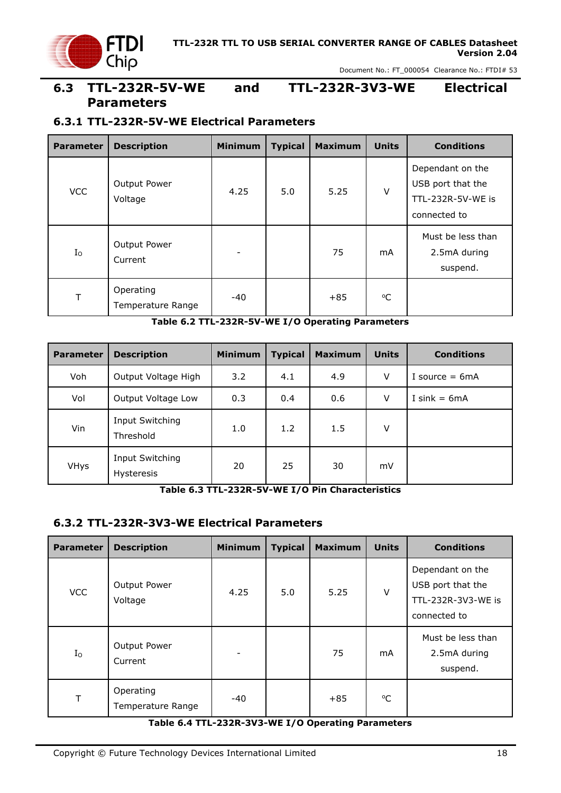

#### <span id="page-17-0"></span>**6.3 TTL-232R-5V-WE and TTL-232R-3V3-WE Electrical Parameters**

#### <span id="page-17-1"></span>**6.3.1 TTL-232R-5V-WE Electrical Parameters**

| <b>Parameter</b> | <b>Description</b>             | <b>Minimum</b> | <b>Typical</b> | <b>Maximum</b> | <b>Units</b> | <b>Conditions</b>                                                          |
|------------------|--------------------------------|----------------|----------------|----------------|--------------|----------------------------------------------------------------------------|
| <b>VCC</b>       | Output Power<br>Voltage        | 4.25           | 5.0            | 5.25           | V            | Dependant on the<br>USB port that the<br>TTL-232R-5V-WE is<br>connected to |
| $I_{\rm O}$      | Output Power<br>Current        | -              |                | 75             | mA           | Must be less than<br>2.5mA during<br>suspend.                              |
| Т                | Operating<br>Temperature Range | -40            |                | $+85$          | $^{\circ}C$  |                                                                            |

**Table 6.2 TTL-232R-5V-WE I/O Operating Parameters**

<span id="page-17-3"></span>

| <b>Parameter</b> | <b>Description</b>            | <b>Minimum</b> | <b>Typical</b> | <b>Maximum</b> | <b>Units</b> | <b>Conditions</b> |
|------------------|-------------------------------|----------------|----------------|----------------|--------------|-------------------|
| Voh              | Output Voltage High           | 3.2            | 4.1            | 4.9            | v            | I source $= 6mA$  |
| Vol              | Output Voltage Low            | 0.3            | 0.4            | 0.6            | V            | I sink = $6mA$    |
| Vin              | Input Switching<br>Threshold  | 1.0            | 1.2            | 1.5            | v            |                   |
| <b>VHys</b>      | Input Switching<br>Hysteresis | 20             | 25             | 30             | mV           |                   |

**Table 6.3 TTL-232R-5V-WE I/O Pin Characteristics**

#### <span id="page-17-4"></span><span id="page-17-2"></span>**6.3.2 TTL-232R-3V3-WE Electrical Parameters**

| <b>Parameter</b> | <b>Description</b>             | <b>Minimum</b>           | <b>Typical</b> | <b>Maximum</b> | <b>Units</b> | <b>Conditions</b>                                                           |
|------------------|--------------------------------|--------------------------|----------------|----------------|--------------|-----------------------------------------------------------------------------|
| <b>VCC</b>       | Output Power<br>Voltage        | 4.25                     | 5.0            | 5.25           | V            | Dependant on the<br>USB port that the<br>TTL-232R-3V3-WE is<br>connected to |
| $I_{\rm O}$      | Output Power<br>Current        | $\overline{\phantom{a}}$ |                | 75             | mA           | Must be less than<br>2.5mA during<br>suspend.                               |
| Т                | Operating<br>Temperature Range | $-40$                    |                | $+85$          | $^{\circ}$ C |                                                                             |

<span id="page-17-5"></span>**Table 6.4 TTL-232R-3V3-WE I/O Operating Parameters**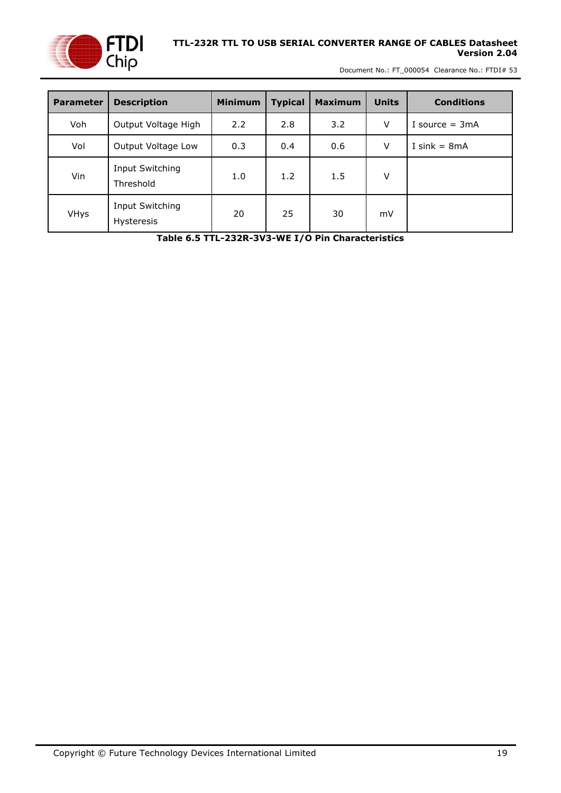

Document No.: FT\_000054 Clearance No.: FTDI# 53

| <b>Parameter</b> | <b>Description</b>            | <b>Minimum</b> | <b>Typical</b> | <b>Maximum</b> | <b>Units</b> | <b>Conditions</b> |
|------------------|-------------------------------|----------------|----------------|----------------|--------------|-------------------|
| Voh              | Output Voltage High           | 2.2            | 2.8            | 3.2            | V            | I source $= 3mA$  |
| Vol              | Output Voltage Low            | 0.3            | 0.4            | 0.6            | V            | I sink = $8mA$    |
| Vin              | Input Switching<br>Threshold  | 1.0            | 1.2            | 1.5            | ٧            |                   |
| <b>VHys</b>      | Input Switching<br>Hysteresis | 20             | 25             | 30             | mV           |                   |

<span id="page-18-0"></span>**Table 6.5 TTL-232R-3V3-WE I/O Pin Characteristics**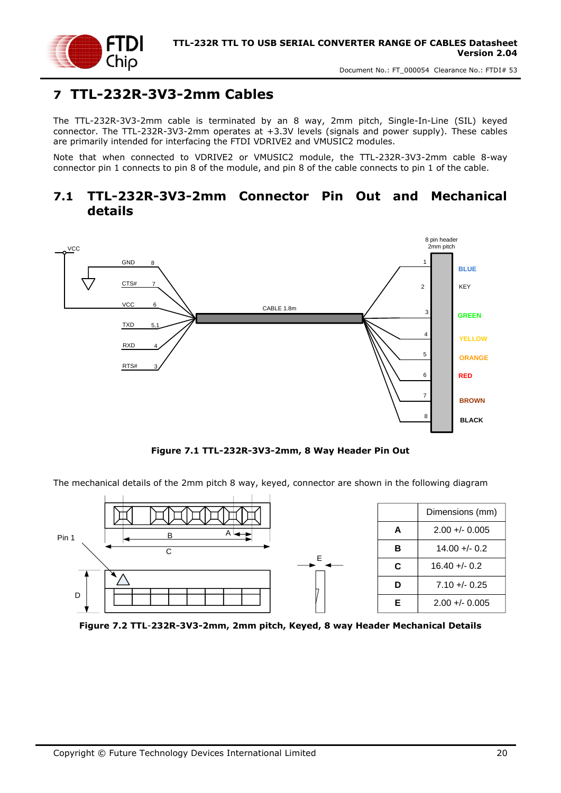

## <span id="page-19-0"></span>**7 TTL-232R-3V3-2mm Cables**

The TTL-232R-3V3-2mm cable is terminated by an 8 way, 2mm pitch, Single-In-Line (SIL) keyed connector. The TTL-232R-3V3-2mm operates at +3.3V levels (signals and power supply). These cables are primarily intended for interfacing the FTDI VDRIVE2 and VMUSIC2 modules.

Note that when connected to VDRIVE2 or VMUSIC2 module, the TTL-232R-3V3-2mm cable 8-way connector pin 1 connects to pin 8 of the module, and pin 8 of the cable connects to pin 1 of the cable.

#### <span id="page-19-1"></span>**7.1 TTL-232R-3V3-2mm Connector Pin Out and Mechanical details**



**Figure 7.1 TTL-232R-3V3-2mm, 8 Way Header Pin Out**

<span id="page-19-2"></span>The mechanical details of the 2mm pitch 8 way, keyed, connector are shown in the following diagram



<span id="page-19-3"></span>**Figure 7.2 TTL**-**232R-3V3-2mm, 2mm pitch, Keyed, 8 way Header Mechanical Details**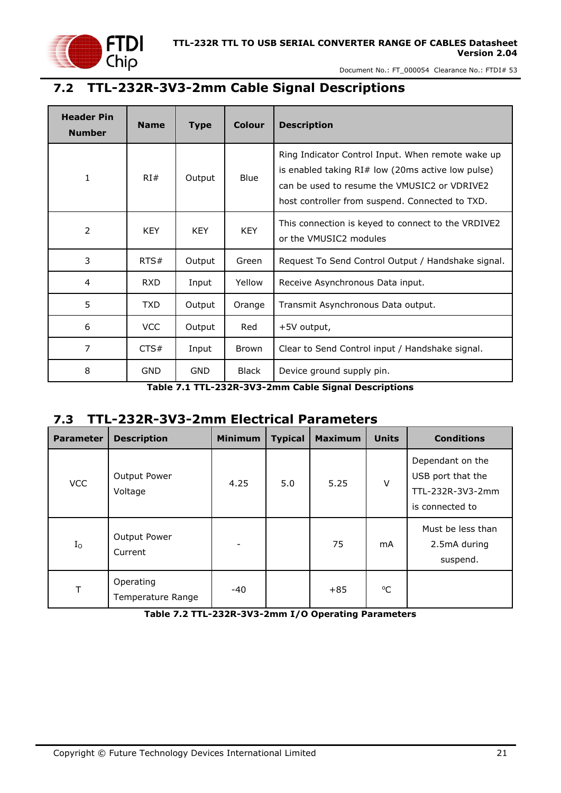

## <span id="page-20-0"></span>**7.2 TTL-232R-3V3-2mm Cable Signal Descriptions**

| <b>Header Pin</b><br><b>Number</b> | <b>Name</b> | <b>Type</b> | <b>Colour</b> | <b>Description</b>                                                                                                                                                                                        |
|------------------------------------|-------------|-------------|---------------|-----------------------------------------------------------------------------------------------------------------------------------------------------------------------------------------------------------|
| 1                                  | RI#         | Output      | Blue          | Ring Indicator Control Input. When remote wake up<br>is enabled taking RI# low (20ms active low pulse)<br>can be used to resume the VMUSIC2 or VDRIVE2<br>host controller from suspend. Connected to TXD. |
| $\overline{2}$                     | <b>KEY</b>  | <b>KEY</b>  | <b>KEY</b>    | This connection is keyed to connect to the VRDIVE2<br>or the VMUSIC2 modules                                                                                                                              |
| 3                                  | RTS#        | Output      | Green         | Request To Send Control Output / Handshake signal.                                                                                                                                                        |
| 4                                  | <b>RXD</b>  | Input       | Yellow        | Receive Asynchronous Data input.                                                                                                                                                                          |
| 5                                  | <b>TXD</b>  | Output      | Orange        | Transmit Asynchronous Data output.                                                                                                                                                                        |
| 6                                  | <b>VCC</b>  | Output      | Red           | +5V output,                                                                                                                                                                                               |
| 7                                  | CTS#        | Input       | <b>Brown</b>  | Clear to Send Control input / Handshake signal.                                                                                                                                                           |
| 8                                  | <b>GND</b>  | <b>GND</b>  | <b>Black</b>  | Device ground supply pin.                                                                                                                                                                                 |

**Table 7.1 TTL-232R-3V3-2mm Cable Signal Descriptions**

#### <span id="page-20-2"></span><span id="page-20-1"></span>**7.3 TTL-232R-3V3-2mm Electrical Parameters**

| <b>Parameter</b> | <b>Description</b>             | <b>Minimum</b>           | <b>Typical</b> | <b>Maximum</b> | <b>Units</b> | <b>Conditions</b>                                                            |
|------------------|--------------------------------|--------------------------|----------------|----------------|--------------|------------------------------------------------------------------------------|
| <b>VCC</b>       | Output Power<br>Voltage        | 4.25                     | 5.0            | 5.25           | $\vee$       | Dependant on the<br>USB port that the<br>TTL-232R-3V3-2mm<br>is connected to |
| $I_{\rm O}$      | Output Power<br>Current        | $\overline{\phantom{a}}$ |                | 75             | mA           | Must be less than<br>2.5mA during<br>suspend.                                |
| T                | Operating<br>Temperature Range | $-40$                    |                | $+85$          | $^{\circ}C$  |                                                                              |

<span id="page-20-3"></span>**Table 7.2 TTL-232R-3V3-2mm I/O Operating Parameters**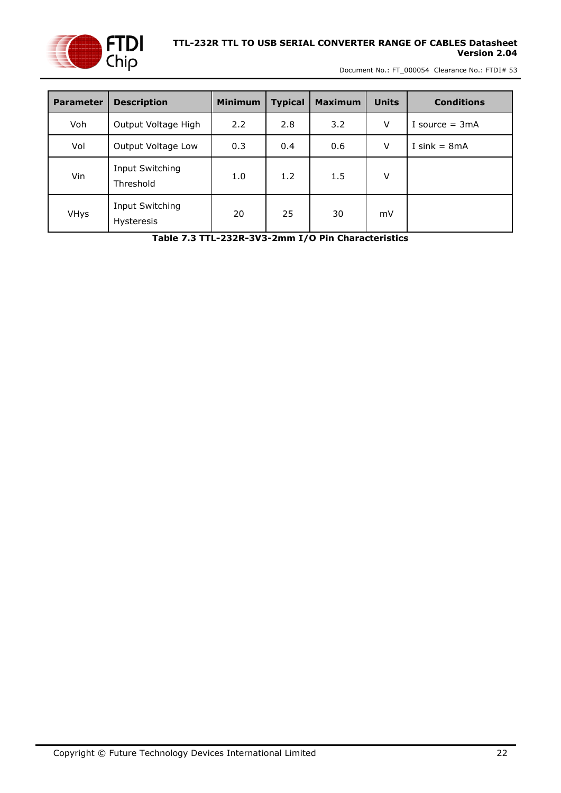

Document No.: FT\_000054 Clearance No.: FTDI# 53

| <b>Parameter</b> | <b>Description</b>                   | <b>Minimum</b> | <b>Typical</b> | <b>Maximum</b> | <b>Units</b> | <b>Conditions</b> |
|------------------|--------------------------------------|----------------|----------------|----------------|--------------|-------------------|
| Voh              | Output Voltage High                  | 2.2            | 2.8            | 3.2            | V            | I source $= 3mA$  |
| Vol              | Output Voltage Low                   | 0.3            | 0.4            | 0.6            | V            | I sink = $8mA$    |
| Vin              | Input Switching<br>Threshold         | 1.0            | 1.2            | 1.5            | V            |                   |
| <b>VHys</b>      | Input Switching<br><b>Hysteresis</b> | 20             | 25             | 30             | mV           |                   |

<span id="page-21-0"></span>**Table 7.3 TTL-232R-3V3-2mm I/O Pin Characteristics**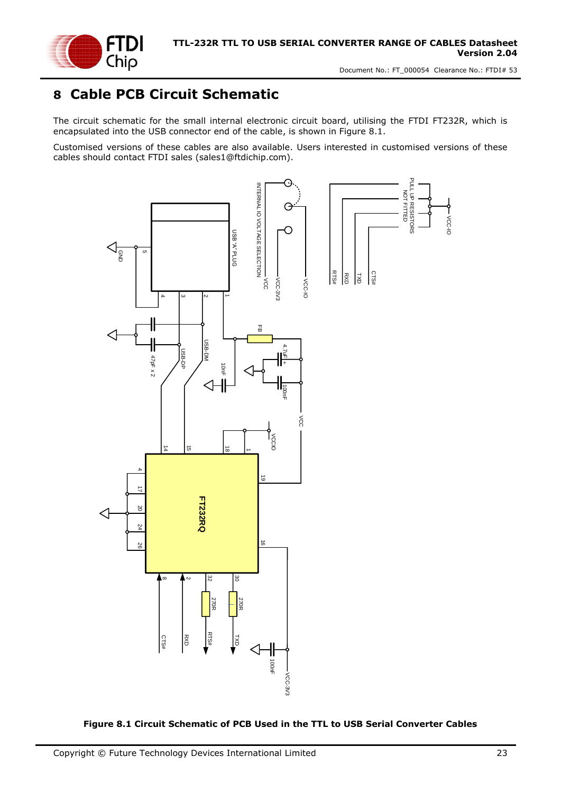

## <span id="page-22-0"></span>**8 Cable PCB Circuit Schematic**

The circuit schematic for the small internal electronic circuit board, utilising the FTDI FT232R, which is encapsulated into the USB connector end of the cable, is shown in [Figure 8.1.](#page-22-1)

Customised versions of these cables are also available. Users interested in customised versions of these cables should contact FTDI sales [\(sales1@ftdichip.com\).](mailto:sales1@ftdichip.com)



<span id="page-22-1"></span>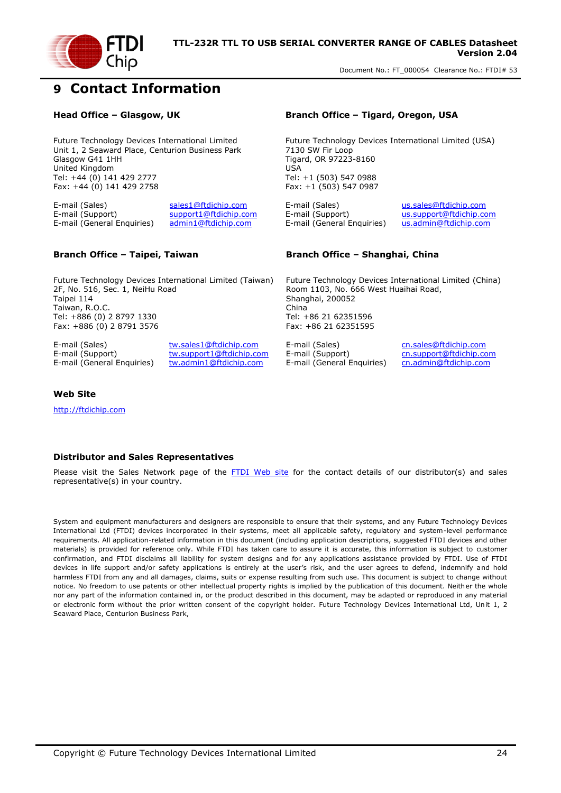

### <span id="page-23-0"></span>**9 Contact Information**

#### **Head Office – Glasgow, UK Branch Office – Tigard, Oregon, USA**

Future Technology Devices International Limited Unit 1, 2 Seaward Place, Centurion Business Park Glasgow G41 1HH United Kingdom Tel: +44 (0) 141 429 2777 Fax: +44 (0) 141 429 2758

E-mail (Sales) [sales1@ftdichip.com](mailto:sales1@ftdichip.com) E-mail (Sales) [us.sales@ftdichip.com](mailto:us.sales@ftdichip.com) E-mail (Support) [support1@ftdichip.com](mailto:support1@ftdichip.com) E-mail (Support) [us.support@ftdichip.com](mailto:us.support@ftdichip.com)<br>E-mail (General Enquiries) admin1@ftdichip.com E-mail (General Enquiries) us.admin@ftdichip.com

Future Technology Devices International Limited (USA) 7130 SW Fir Loop Tigard, OR 97223-8160 USA Tel: +1 (503) 547 0988 Fax: +1 (503) 547 0987

E-mail (General Enquiries)

#### **Branch Office – Taipei, Taiwan Branch Office – Shanghai, China**

Future Technology Devices International Limited (China) Room 1103, No. 666 West Huaihai Road, Shanghai, 200052 China Tel: +86 21 62351596 Fax: +86 21 62351595

E-mail (General Enquiries) [tw.admin1@ftdichip.com](mailto:tw.admin1@ftdichip.com) E-mail (General Enquiries) [cn.admin@ftdichip.com](mailto:cn.admin@ftdichip.com)

Future Technology Devices International Limited (Taiwan) 2F, No. 516, Sec. 1, NeiHu Road Taipei 114 Taiwan, R.O.C. Tel: +886 (0) 2 8797 1330 Fax: +886 (0) 2 8791 3576

E-mail (Sales) [tw.sales1@ftdichip.com](mailto:tw.sales1@ftdichip.com) E-mail (Sales) [cn.sales@ftdichip.com](mailto:cn.sales@ftdichip.com) E-mail (Support) [tw.support1@ftdichip.com](mailto:tw.support1@ftdichip.com) E-mail (Support) [cn.support@ftdichip.com](mailto:cn.support@ftdichip.com)

#### **Web Site**

[http://ftdichip.com](http://ftdichip.com/)

#### **Distributor and Sales Representatives**

Please visit the Sales Network page of the [FTDI Web site](http://ftdichip.com/FTSalesNetwork.htm) for the contact details of our distributor(s) and sales representative(s) in your country.

System and equipment manufacturers and designers are responsible to ensure that their systems, and any Future Technology Devices International Ltd (FTDI) devices incorporated in their systems, meet all applicable safety, regulatory and system-level performance requirements. All application-related information in this document (including application descriptions, suggested FTDI devices and other materials) is provided for reference only. While FTDI has taken care to assure it is accurate, this information is subject to customer confirmation, and FTDI disclaims all liability for system designs and for any applications assistance provided by FTDI. Use of FTDI devices in life support and/or safety applications is entirely at the user's risk, and the user agrees to defend, indemnify and hold harmless FTDI from any and all damages, claims, suits or expense resulting from such use. This document is subject to change without notice. No freedom to use patents or other intellectual property rights is implied by the publication of this document. Neither the whole nor any part of the information contained in, or the product described in this document, may be adapted or reproduced in any material or electronic form without the prior written consent of the copyright holder. Future Technology Devices International Ltd, Unit 1, 2 Seaward Place, Centurion Business Park,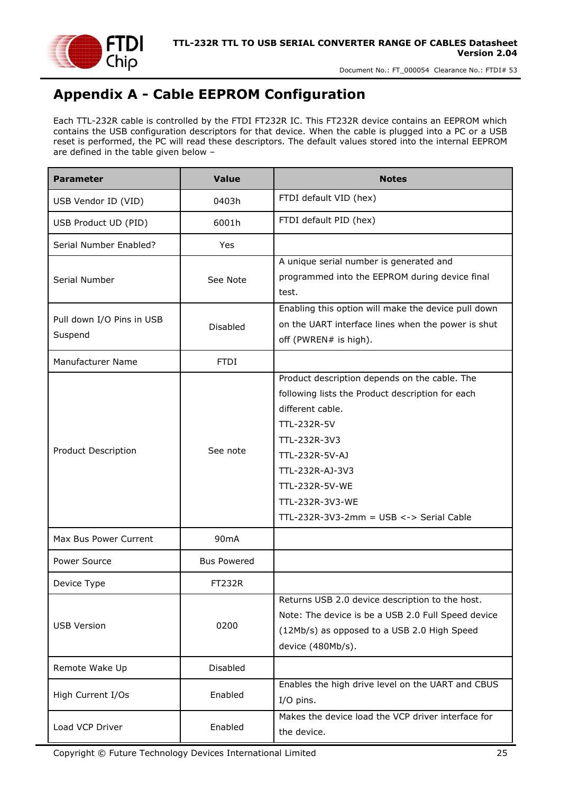

## <span id="page-24-0"></span>**Appendix A - Cable EEPROM Configuration**

Each TTL-232R cable is controlled by the FTDI FT232R IC. This FT232R device contains an EEPROM which contains the USB configuration descriptors for that device. When the cable is plugged into a PC or a USB reset is performed, the PC will read these descriptors. The default values stored into the internal EEPROM are defined in the table given below –

| <b>Parameter</b>                     | <b>Value</b>       | <b>Notes</b>                                                                                                                                                                                                                                                                 |
|--------------------------------------|--------------------|------------------------------------------------------------------------------------------------------------------------------------------------------------------------------------------------------------------------------------------------------------------------------|
| USB Vendor ID (VID)                  | 0403h              | FTDI default VID (hex)                                                                                                                                                                                                                                                       |
| USB Product UD (PID)                 | 6001h              | FTDI default PID (hex)                                                                                                                                                                                                                                                       |
| Serial Number Enabled?               | Yes                |                                                                                                                                                                                                                                                                              |
| Serial Number                        | See Note           | A unique serial number is generated and<br>programmed into the EEPROM during device final<br>test.                                                                                                                                                                           |
| Pull down I/O Pins in USB<br>Suspend | <b>Disabled</b>    | Enabling this option will make the device pull down<br>on the UART interface lines when the power is shut<br>off (PWREN# is high).                                                                                                                                           |
| Manufacturer Name                    | <b>FTDI</b>        |                                                                                                                                                                                                                                                                              |
| Product Description                  | See note           | Product description depends on the cable. The<br>following lists the Product description for each<br>different cable.<br>TTL-232R-5V<br>TTL-232R-3V3<br>TTL-232R-5V-AJ<br>TTL-232R-AJ-3V3<br>TTL-232R-5V-WE<br>TTL-232R-3V3-WE<br>$TTL-232R-3V3-2mm = USB < ->$ Serial Cable |
| Max Bus Power Current                | 90 <sub>m</sub> A  |                                                                                                                                                                                                                                                                              |
| Power Source                         | <b>Bus Powered</b> |                                                                                                                                                                                                                                                                              |
| Device Type                          | <b>FT232R</b>      |                                                                                                                                                                                                                                                                              |
| <b>USB Version</b>                   | 0200               | Returns USB 2.0 device description to the host.<br>Note: The device is be a USB 2.0 Full Speed device<br>(12Mb/s) as opposed to a USB 2.0 High Speed<br>device (480Mb/s).                                                                                                    |
| Remote Wake Up                       | Disabled           |                                                                                                                                                                                                                                                                              |
| High Current I/Os                    | Enabled            | Enables the high drive level on the UART and CBUS<br>I/O pins.                                                                                                                                                                                                               |
| Load VCP Driver                      | Enabled            | Makes the device load the VCP driver interface for<br>the device.                                                                                                                                                                                                            |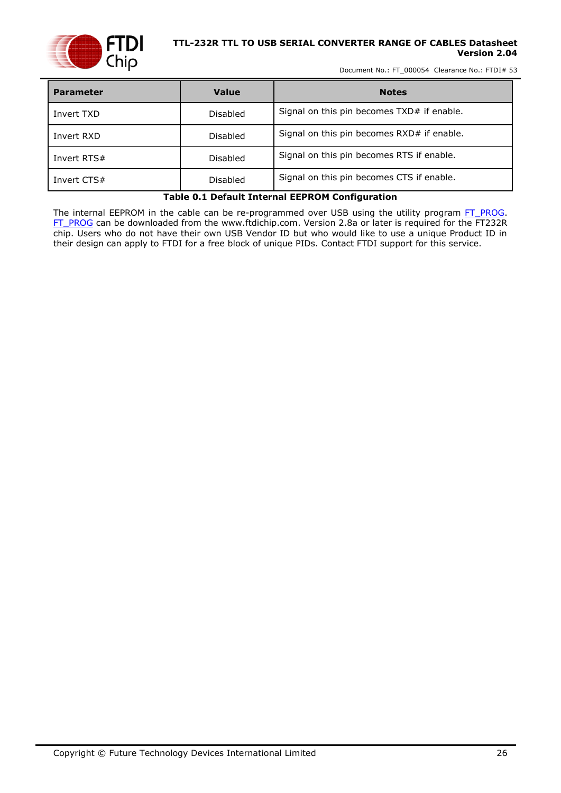

Document No.: FT\_000054 Clearance No.: FTDI# 53

| <b>Parameter</b> | <b>Value</b> | <b>Notes</b>                               |  |
|------------------|--------------|--------------------------------------------|--|
| Invert TXD       | Disabled     | Signal on this pin becomes TXD# if enable. |  |
| Invert RXD       | Disabled     | Signal on this pin becomes RXD# if enable. |  |
| Invert RTS#      | Disabled     | Signal on this pin becomes RTS if enable.  |  |
| Invert CTS#      | Disabled     | Signal on this pin becomes CTS if enable.  |  |

**Table 0.1 Default Internal EEPROM Configuration**

<span id="page-25-0"></span>The internal EEPROM in the cable can be re-programmed over USB using the utility program [FT\\_PROG.](http://www.ftdichip.com/Support/Utilities/FT_Prog_v1.9.zip) [FT\\_PROG](http://www.ftdichip.com/Support/Utilities/FT_Prog_v1.9.zip) can be downloaded from the [www.ftdichip.com.](file://///glaspssv1/General/Engineering/Engineering%20_Documents/DS_TTL-232R/DS_TTL-232R_V200/www.ftdichip.com) Version 2.8a or later is required for the FT232R chip. Users who do not have their own USB Vendor ID but who would like to use a unique Product ID in their design can apply to FTDI for a free block of unique PIDs. Contact FTDI support for this service.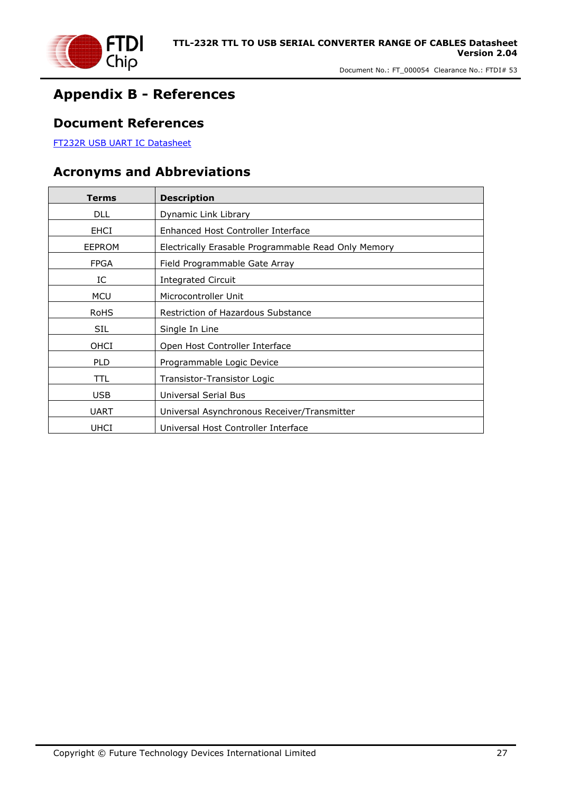

## <span id="page-26-0"></span>**Appendix B - References**

#### <span id="page-26-1"></span>**Document References**

[FT232R USB UART IC Datasheet](https://www.ftdichip.com/Support/Documents/DataSheets/ICs/DS_FT232R.pdf)

### <span id="page-26-2"></span>**Acronyms and Abbreviations**

| Terms         | <b>Description</b>                                  |
|---------------|-----------------------------------------------------|
| <b>DLL</b>    | Dynamic Link Library                                |
| <b>EHCI</b>   | Enhanced Host Controller Interface                  |
| <b>EEPROM</b> | Electrically Erasable Programmable Read Only Memory |
| <b>FPGA</b>   | Field Programmable Gate Array                       |
| IC            | <b>Integrated Circuit</b>                           |
| <b>MCU</b>    | Microcontroller Unit                                |
| <b>RoHS</b>   | Restriction of Hazardous Substance                  |
| <b>SIL</b>    | Single In Line                                      |
| OHCI          | Open Host Controller Interface                      |
| <b>PLD</b>    | Programmable Logic Device                           |
| TTL           | Transistor-Transistor Logic                         |
| <b>USB</b>    | Universal Serial Bus                                |
| <b>UART</b>   | Universal Asynchronous Receiver/Transmitter         |
| UHCI          | Universal Host Controller Interface                 |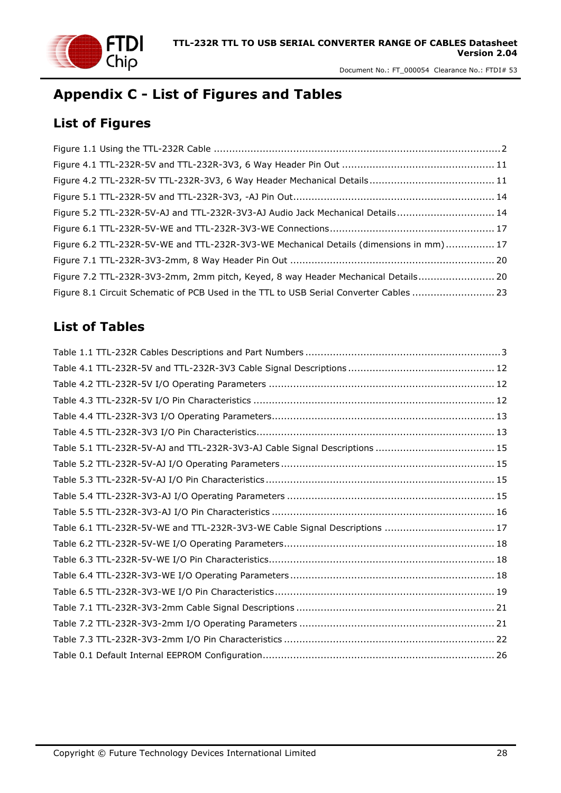

## <span id="page-27-0"></span>**Appendix C - List of Figures and Tables**

## <span id="page-27-1"></span>**List of Figures**

| Figure 5.2 TTL-232R-5V-AJ and TTL-232R-3V3-AJ Audio Jack Mechanical Details 14         |  |
|----------------------------------------------------------------------------------------|--|
|                                                                                        |  |
| Figure 6.2 TTL-232R-5V-WE and TTL-232R-3V3-WE Mechanical Details (dimensions in mm) 17 |  |
|                                                                                        |  |
| Figure 7.2 TTL-232R-3V3-2mm, 2mm pitch, Keyed, 8 way Header Mechanical Details 20      |  |
| Figure 8.1 Circuit Schematic of PCB Used in the TTL to USB Serial Converter Cables  23 |  |

## <span id="page-27-2"></span>**List of Tables**

| Table 6.1 TTL-232R-5V-WE and TTL-232R-3V3-WE Cable Signal Descriptions  17 |
|----------------------------------------------------------------------------|
|                                                                            |
|                                                                            |
|                                                                            |
|                                                                            |
|                                                                            |
|                                                                            |
|                                                                            |
|                                                                            |